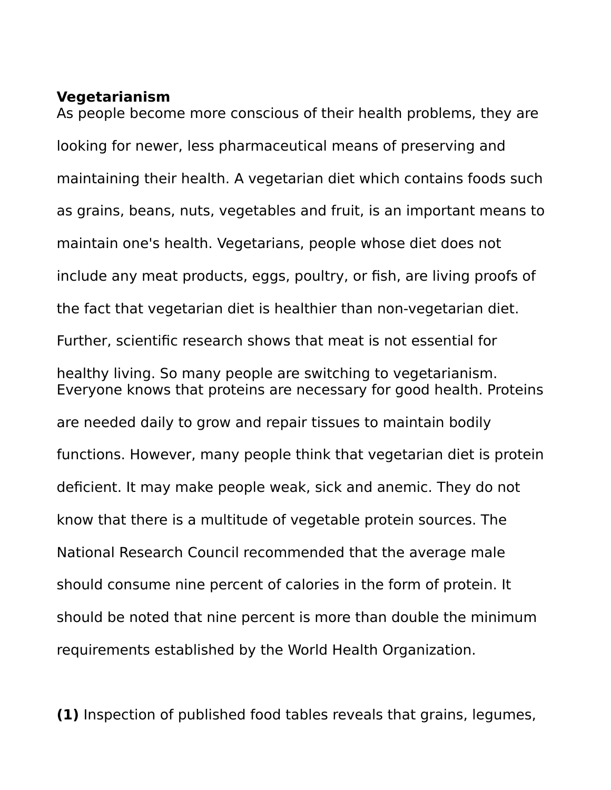#### **Vegetarianism**

As people become more conscious of their health problems, they are looking for newer, less pharmaceutical means of preserving and maintaining their health. A vegetarian diet which contains foods such as grains, beans, nuts, vegetables and fruit, is an important means to maintain one's health. Vegetarians, people whose diet does not include any meat products, eggs, poultry, or fish, are living proofs of the fact that vegetarian diet is healthier than non-vegetarian diet. Further, scientific research shows that meat is not essential for healthy living. So many people are switching to vegetarianism. Everyone knows that proteins are necessary for good health. Proteins are needed daily to grow and repair tissues to maintain bodily functions. However, many people think that vegetarian diet is protein deficient. It may make people weak, sick and anemic. They do not know that there is a multitude of vegetable protein sources. The National Research Council recommended that the average male should consume nine percent of calories in the form of protein. It should be noted that nine percent is more than double the minimum requirements established by the World Health Organization.

**(1)** Inspection of published food tables reveals that grains, legumes,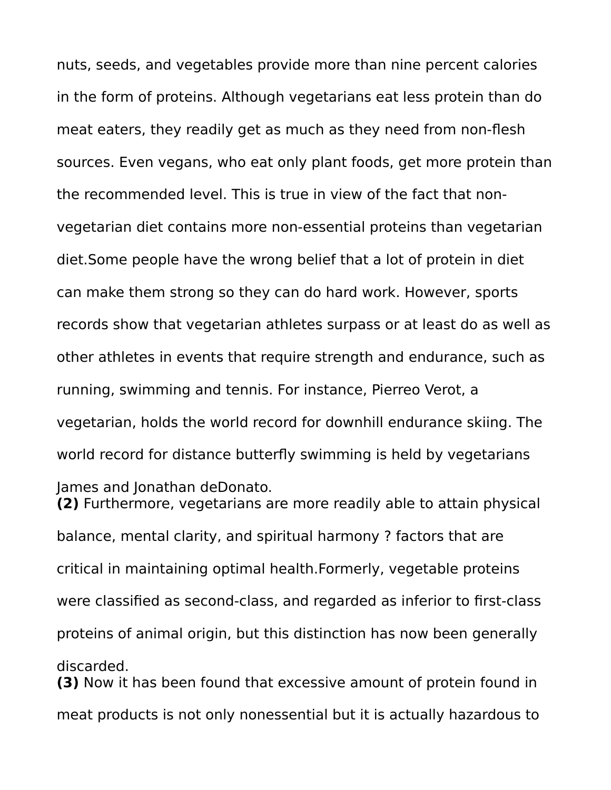nuts, seeds, and vegetables provide more than nine percent calories in the form of proteins. Although vegetarians eat less protein than do meat eaters, they readily get as much as they need from non-flesh sources. Even vegans, who eat only plant foods, get more protein than the recommended level. This is true in view of the fact that nonvegetarian diet contains more non-essential proteins than vegetarian diet.Some people have the wrong belief that a lot of protein in diet can make them strong so they can do hard work. However, sports records show that vegetarian athletes surpass or at least do as well as other athletes in events that require strength and endurance, such as running, swimming and tennis. For instance, Pierreo Verot, a vegetarian, holds the world record for downhill endurance skiing. The world record for distance butterfly swimming is held by vegetarians James and Jonathan deDonato. **(2)** Furthermore, vegetarians are more readily able to attain physical

balance, mental clarity, and spiritual harmony ? factors that are critical in maintaining optimal health.Formerly, vegetable proteins were classified as second-class, and regarded as inferior to first-class proteins of animal origin, but this distinction has now been generally discarded. **(3)** Now it has been found that excessive amount of protein found in

meat products is not only nonessential but it is actually hazardous to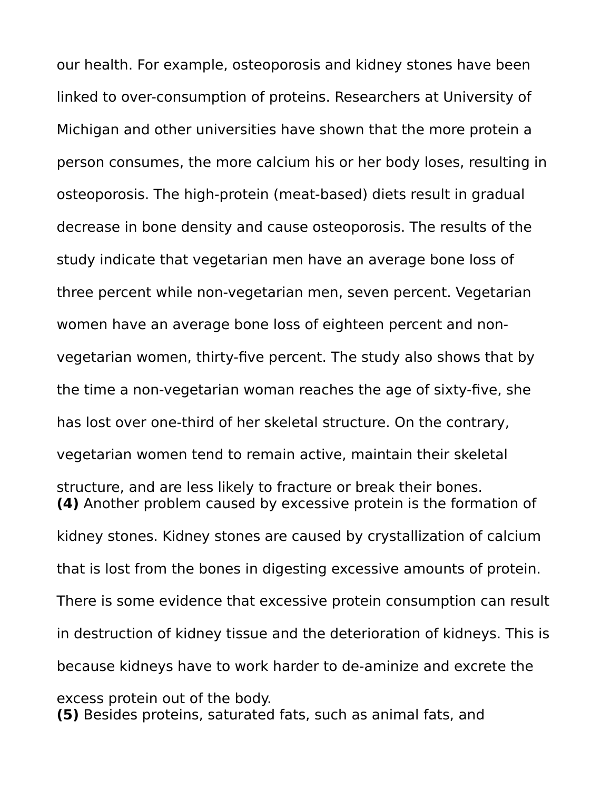our health. For example, osteoporosis and kidney stones have been linked to over-consumption of proteins. Researchers at University of Michigan and other universities have shown that the more protein a person consumes, the more calcium his or her body loses, resulting in osteoporosis. The high-protein (meat-based) diets result in gradual decrease in bone density and cause osteoporosis. The results of the study indicate that vegetarian men have an average bone loss of three percent while non-vegetarian men, seven percent. Vegetarian women have an average bone loss of eighteen percent and nonvegetarian women, thirty-five percent. The study also shows that by the time a non-vegetarian woman reaches the age of sixty-five, she has lost over one-third of her skeletal structure. On the contrary, vegetarian women tend to remain active, maintain their skeletal structure, and are less likely to fracture or break their bones. **(4)** Another problem caused by excessive protein is the formation of kidney stones. Kidney stones are caused by crystallization of calcium that is lost from the bones in digesting excessive amounts of protein. There is some evidence that excessive protein consumption can result in destruction of kidney tissue and the deterioration of kidneys. This is because kidneys have to work harder to de-aminize and excrete the excess protein out of the body. **(5)** Besides proteins, saturated fats, such as animal fats, and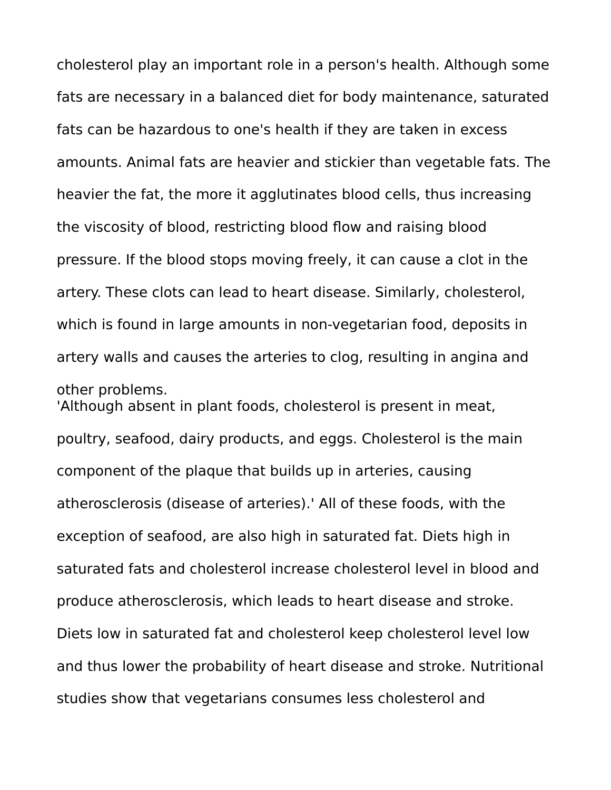cholesterol play an important role in a person's health. Although some fats are necessary in a balanced diet for body maintenance, saturated fats can be hazardous to one's health if they are taken in excess amounts. Animal fats are heavier and stickier than vegetable fats. The heavier the fat, the more it agglutinates blood cells, thus increasing the viscosity of blood, restricting blood flow and raising blood pressure. If the blood stops moving freely, it can cause a clot in the artery. These clots can lead to heart disease. Similarly, cholesterol, which is found in large amounts in non-vegetarian food, deposits in artery walls and causes the arteries to clog, resulting in angina and other problems.

'Although absent in plant foods, cholesterol is present in meat, poultry, seafood, dairy products, and eggs. Cholesterol is the main component of the plaque that builds up in arteries, causing atherosclerosis (disease of arteries).' All of these foods, with the exception of seafood, are also high in saturated fat. Diets high in saturated fats and cholesterol increase cholesterol level in blood and produce atherosclerosis, which leads to heart disease and stroke. Diets low in saturated fat and cholesterol keep cholesterol level low and thus lower the probability of heart disease and stroke. Nutritional studies show that vegetarians consumes less cholesterol and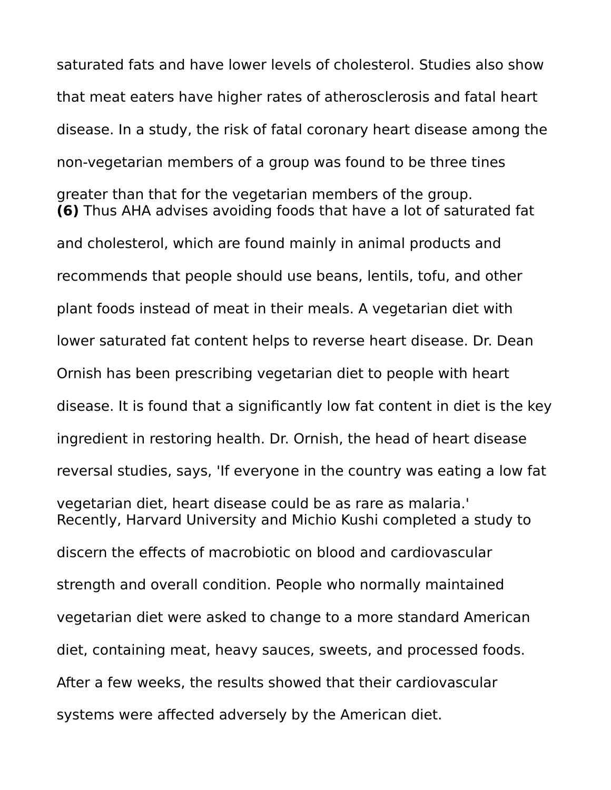saturated fats and have lower levels of cholesterol. Studies also show that meat eaters have higher rates of atherosclerosis and fatal heart disease. In a study, the risk of fatal coronary heart disease among the non-vegetarian members of a group was found to be three tines greater than that for the vegetarian members of the group. **(6)** Thus AHA advises avoiding foods that have a lot of saturated fat and cholesterol, which are found mainly in animal products and recommends that people should use beans, lentils, tofu, and other plant foods instead of meat in their meals. A vegetarian diet with lower saturated fat content helps to reverse heart disease. Dr. Dean Ornish has been prescribing vegetarian diet to people with heart disease. It is found that a significantly low fat content in diet is the key ingredient in restoring health. Dr. Ornish, the head of heart disease reversal studies, says, 'If everyone in the country was eating a low fat vegetarian diet, heart disease could be as rare as malaria.' Recently, Harvard University and Michio Kushi completed a study to discern the effects of macrobiotic on blood and cardiovascular strength and overall condition. People who normally maintained vegetarian diet were asked to change to a more standard American diet, containing meat, heavy sauces, sweets, and processed foods. After a few weeks, the results showed that their cardiovascular systems were affected adversely by the American diet.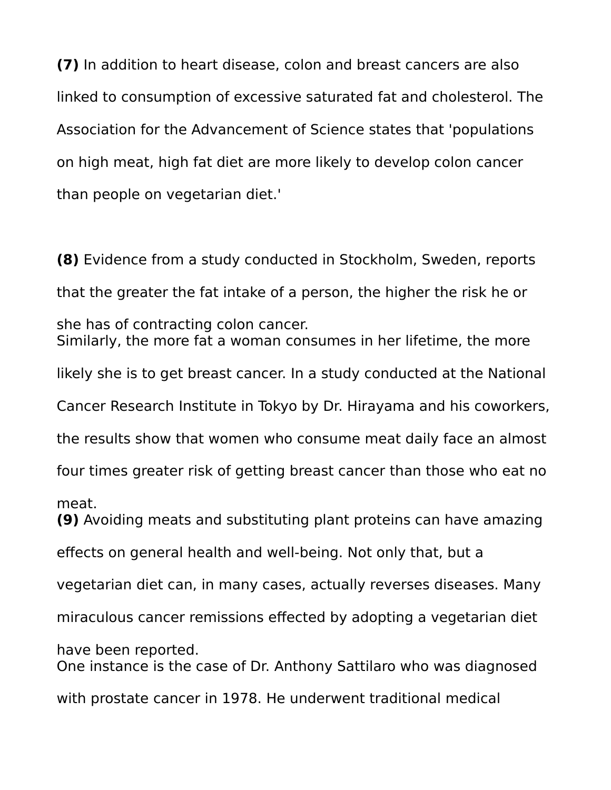**(7)** In addition to heart disease, colon and breast cancers are also linked to consumption of excessive saturated fat and cholesterol. The Association for the Advancement of Science states that 'populations on high meat, high fat diet are more likely to develop colon cancer than people on vegetarian diet.'

**(8)** Evidence from a study conducted in Stockholm, Sweden, reports that the greater the fat intake of a person, the higher the risk he or she has of contracting colon cancer. Similarly, the more fat a woman consumes in her lifetime, the more likely she is to get breast cancer. In a study conducted at the National Cancer Research Institute in Tokyo by Dr. Hirayama and his coworkers, the results show that women who consume meat daily face an almost four times greater risk of getting breast cancer than those who eat no meat. **(9)** Avoiding meats and substituting plant proteins can have amazing effects on general health and well-being. Not only that, but a vegetarian diet can, in many cases, actually reverses diseases. Many miraculous cancer remissions effected by adopting a vegetarian diet have been reported. One instance is the case of Dr. Anthony Sattilaro who was diagnosed with prostate cancer in 1978. He underwent traditional medical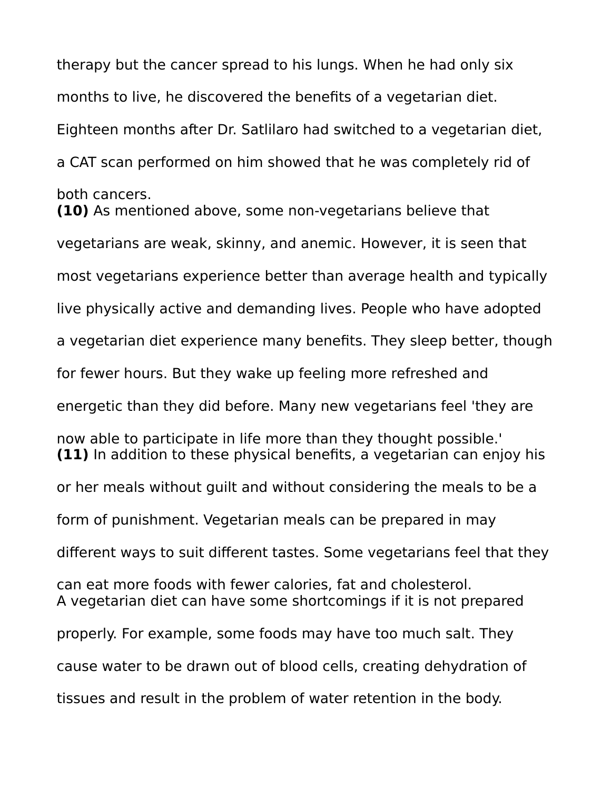therapy but the cancer spread to his lungs. When he had only six months to live, he discovered the benefits of a vegetarian diet. Eighteen months after Dr. Satlilaro had switched to a vegetarian diet, a CAT scan performed on him showed that he was completely rid of both cancers. **(10)** As mentioned above, some non-vegetarians believe that vegetarians are weak, skinny, and anemic. However, it is seen that most vegetarians experience better than average health and typically live physically active and demanding lives. People who have adopted a vegetarian diet experience many benefits. They sleep better, though for fewer hours. But they wake up feeling more refreshed and energetic than they did before. Many new vegetarians feel 'they are now able to participate in life more than they thought possible.' **(11)** In addition to these physical benefits, a vegetarian can enjoy his or her meals without guilt and without considering the meals to be a form of punishment. Vegetarian meals can be prepared in may different ways to suit different tastes. Some vegetarians feel that they can eat more foods with fewer calories, fat and cholesterol. A vegetarian diet can have some shortcomings if it is not prepared properly. For example, some foods may have too much salt. They cause water to be drawn out of blood cells, creating dehydration of tissues and result in the problem of water retention in the body.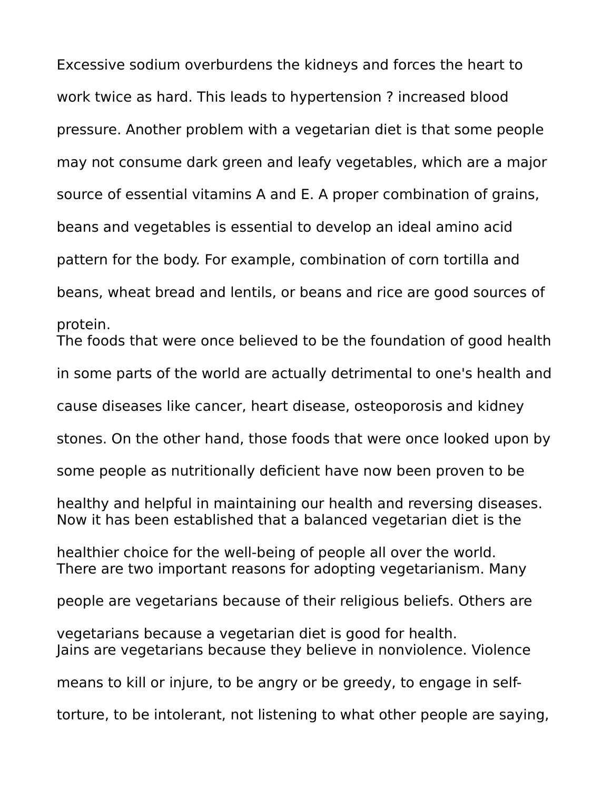Excessive sodium overburdens the kidneys and forces the heart to work twice as hard. This leads to hypertension ? increased blood pressure. Another problem with a vegetarian diet is that some people may not consume dark green and leafy vegetables, which are a major source of essential vitamins A and E. A proper combination of grains, beans and vegetables is essential to develop an ideal amino acid pattern for the body. For example, combination of corn tortilla and beans, wheat bread and lentils, or beans and rice are good sources of protein. The foods that were once believed to be the foundation of good health in some parts of the world are actually detrimental to one's health and cause diseases like cancer, heart disease, osteoporosis and kidney stones. On the other hand, those foods that were once looked upon by some people as nutritionally deficient have now been proven to be healthy and helpful in maintaining our health and reversing diseases. Now it has been established that a balanced vegetarian diet is the healthier choice for the well-being of people all over the world. There are two important reasons for adopting vegetarianism. Many people are vegetarians because of their religious beliefs. Others are vegetarians because a vegetarian diet is good for health. Jains are vegetarians because they believe in nonviolence. Violence means to kill or injure, to be angry or be greedy, to engage in selftorture, to be intolerant, not listening to what other people are saying,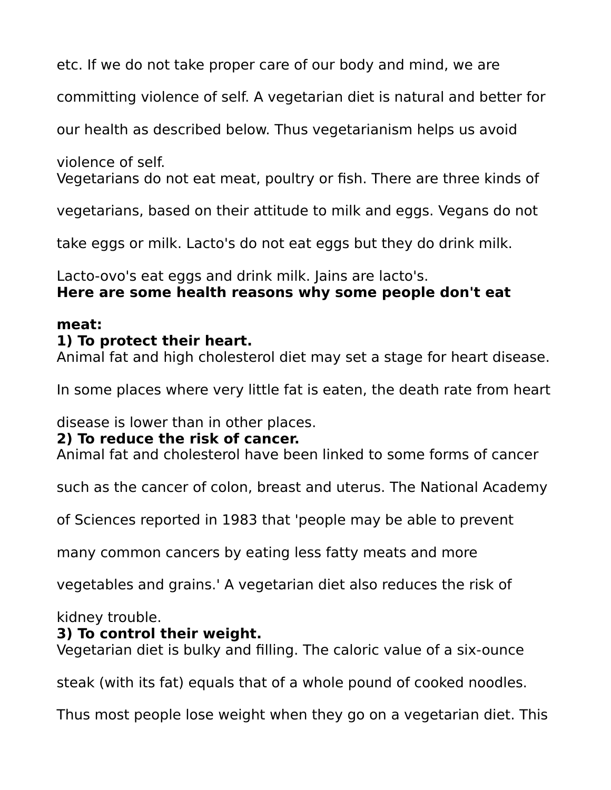etc. If we do not take proper care of our body and mind, we are

committing violence of self. A vegetarian diet is natural and better for

our health as described below. Thus vegetarianism helps us avoid

violence of self.

Vegetarians do not eat meat, poultry or fish. There are three kinds of

vegetarians, based on their attitude to milk and eggs. Vegans do not

take eggs or milk. Lacto's do not eat eggs but they do drink milk.

Lacto-ovo's eat eggs and drink milk. Jains are lacto's. **Here are some health reasons why some people don't eat** 

#### **meat:**

### **1) To protect their heart.**

Animal fat and high cholesterol diet may set a stage for heart disease.

In some places where very little fat is eaten, the death rate from heart

disease is lower than in other places.

### **2) To reduce the risk of cancer.**

Animal fat and cholesterol have been linked to some forms of cancer

such as the cancer of colon, breast and uterus. The National Academy

of Sciences reported in 1983 that 'people may be able to prevent

many common cancers by eating less fatty meats and more

vegetables and grains.' A vegetarian diet also reduces the risk of

kidney trouble.

#### **3) To control their weight.**

Vegetarian diet is bulky and filling. The caloric value of a six-ounce

steak (with its fat) equals that of a whole pound of cooked noodles.

Thus most people lose weight when they go on a vegetarian diet. This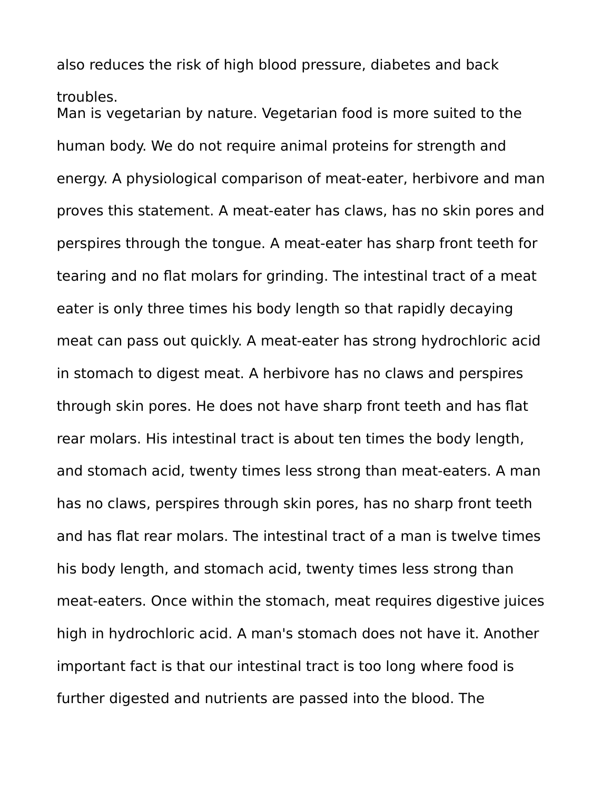also reduces the risk of high blood pressure, diabetes and back

troubles.

Man is vegetarian by nature. Vegetarian food is more suited to the human body. We do not require animal proteins for strength and energy. A physiological comparison of meat-eater, herbivore and man proves this statement. A meat-eater has claws, has no skin pores and perspires through the tongue. A meat-eater has sharp front teeth for tearing and no flat molars for grinding. The intestinal tract of a meat eater is only three times his body length so that rapidly decaying meat can pass out quickly. A meat-eater has strong hydrochloric acid in stomach to digest meat. A herbivore has no claws and perspires through skin pores. He does not have sharp front teeth and has flat rear molars. His intestinal tract is about ten times the body length, and stomach acid, twenty times less strong than meat-eaters. A man has no claws, perspires through skin pores, has no sharp front teeth and has flat rear molars. The intestinal tract of a man is twelve times his body length, and stomach acid, twenty times less strong than meat-eaters. Once within the stomach, meat requires digestive juices high in hydrochloric acid. A man's stomach does not have it. Another important fact is that our intestinal tract is too long where food is further digested and nutrients are passed into the blood. The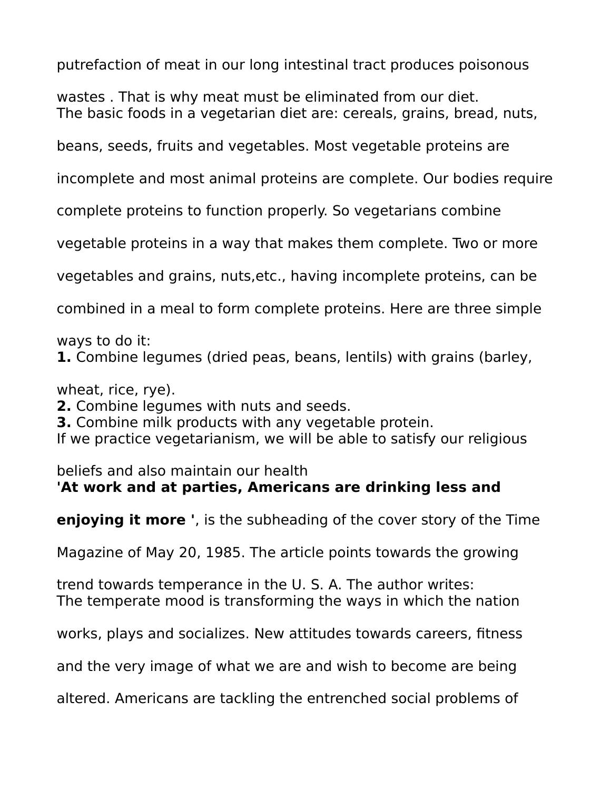putrefaction of meat in our long intestinal tract produces poisonous

wastes . That is why meat must be eliminated from our diet. The basic foods in a vegetarian diet are: cereals, grains, bread, nuts,

beans, seeds, fruits and vegetables. Most vegetable proteins are

incomplete and most animal proteins are complete. Our bodies require

complete proteins to function properly. So vegetarians combine

vegetable proteins in a way that makes them complete. Two or more

vegetables and grains, nuts,etc., having incomplete proteins, can be

combined in a meal to form complete proteins. Here are three simple

ways to do it:

**1.** Combine legumes (dried peas, beans, lentils) with grains (barley,

wheat, rice, rye).

**2.** Combine legumes with nuts and seeds.

**3.** Combine milk products with any vegetable protein.

If we practice vegetarianism, we will be able to satisfy our religious

# beliefs and also maintain our health

## **'At work and at parties, Americans are drinking less and**

**enjoying it more '**, is the subheading of the cover story of the Time

Magazine of May 20, 1985. The article points towards the growing

trend towards temperance in the U. S. A. The author writes: The temperate mood is transforming the ways in which the nation

works, plays and socializes. New attitudes towards careers, fitness

and the very image of what we are and wish to become are being

altered. Americans are tackling the entrenched social problems of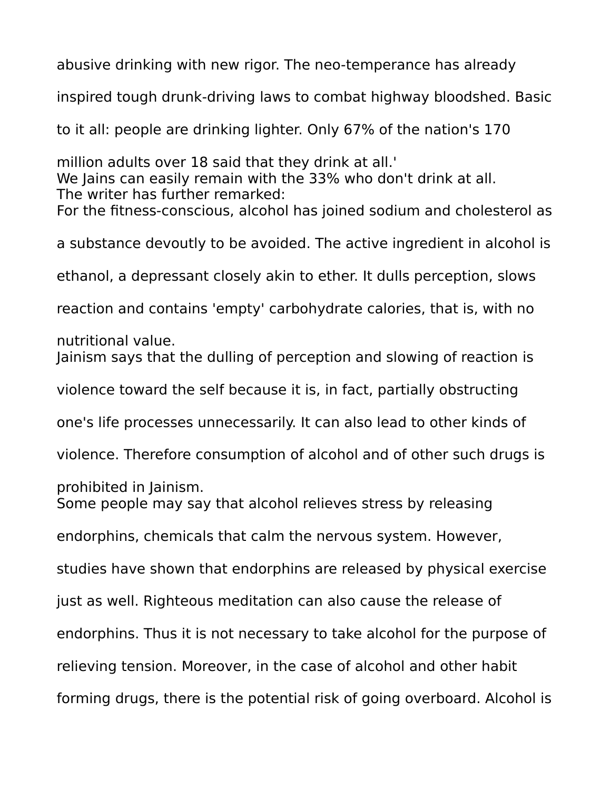abusive drinking with new rigor. The neo-temperance has already inspired tough drunk-driving laws to combat highway bloodshed. Basic to it all: people are drinking lighter. Only 67% of the nation's 170 million adults over 18 said that they drink at all.' We Jains can easily remain with the 33% who don't drink at all. The writer has further remarked: For the fitness-conscious, alcohol has joined sodium and cholesterol as a substance devoutly to be avoided. The active ingredient in alcohol is ethanol, a depressant closely akin to ether. It dulls perception, slows reaction and contains 'empty' carbohydrate calories, that is, with no nutritional value. Jainism says that the dulling of perception and slowing of reaction is violence toward the self because it is, in fact, partially obstructing one's life processes unnecessarily. It can also lead to other kinds of violence. Therefore consumption of alcohol and of other such drugs is prohibited in Jainism. Some people may say that alcohol relieves stress by releasing endorphins, chemicals that calm the nervous system. However, studies have shown that endorphins are released by physical exercise just as well. Righteous meditation can also cause the release of endorphins. Thus it is not necessary to take alcohol for the purpose of relieving tension. Moreover, in the case of alcohol and other habit forming drugs, there is the potential risk of going overboard. Alcohol is